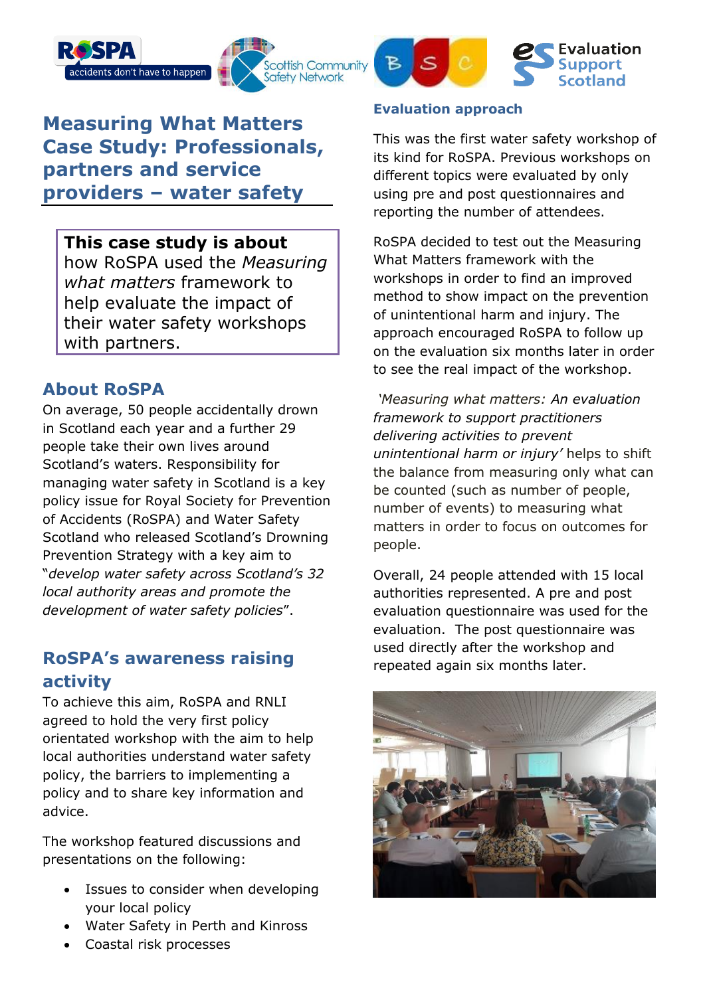





# **Measuring What Matters Case Study: Professionals, partners and service providers – water safety**

### **This case study is about**

how RoSPA used the *Measuring what matters* framework to help evaluate the impact of their water safety workshops with partners.

## **About RoSPA**

On average, 50 people accidentally drown in Scotland each year and a further 29 people take their own lives around Scotland's waters. Responsibility for managing water safety in Scotland is a key policy issue for Royal Society for Prevention of Accidents (RoSPA) and Water Safety Scotland who released Scotland's Drowning Prevention Strategy with a key aim to "*develop water safety across Scotland's 32 local authority areas and promote the development of water safety policies*".

# **RoSPA's awareness raising activity**

To achieve this aim, RoSPA and RNLI agreed to hold the very first policy orientated workshop with the aim to help local authorities understand water safety policy, the barriers to implementing a policy and to share key information and advice.

The workshop featured discussions and presentations on the following:

- Issues to consider when developing your local policy
- Water Safety in Perth and Kinross
- Coastal risk processes

#### **Evaluation approach**

This was the first water safety workshop of its kind for RoSPA. Previous workshops on different topics were evaluated by only using pre and post questionnaires and reporting the number of attendees.

RoSPA decided to test out the Measuring What Matters framework with the workshops in order to find an improved method to show impact on the prevention of unintentional harm and injury. The approach encouraged RoSPA to follow up on the evaluation six months later in order to see the real impact of the workshop.

*'Measuring what matters: An evaluation framework to support practitioners delivering activities to prevent unintentional harm or injury'* helps to shift the balance from measuring only what can be counted (such as number of people, number of events) to measuring what matters in order to focus on outcomes for people.

Overall, 24 people attended with 15 local authorities represented. A pre and post evaluation questionnaire was used for the evaluation. The post questionnaire was used directly after the workshop and repeated again six months later.